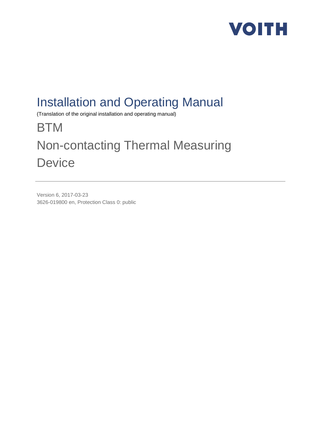

## Installation and Operating Manual

(Translation of the original installation and operating manual)

## **BTM** Non-contacting Thermal Measuring **Device**

Version 6, 2017-03-23 3626-019800 en, Protection Class 0: public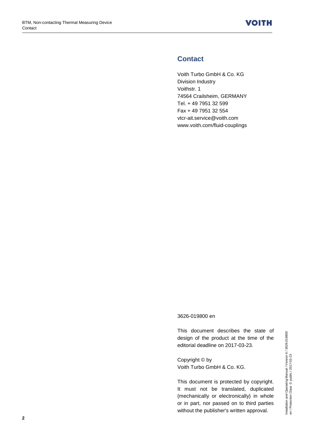### **Contact**

Voith Turbo GmbH & Co. KG Division Industry Voithstr. 1 74564 Crailsheim, GERMANY Tel. + 49 7951 32 599 Fax + 49 7951 32 554 vtcr-ait.service@voith.com www.voith.com/fluid-couplings

#### 3626-019800 en

This document describes the state of design of the product at the time of the editorial deadline on 2017-03-23.

Copyright © by Voith Turbo GmbH & Co. KG.

This document is protected by copyright. It must not be translated, duplicated (mechanically or electronically) in whole or in part, nor passed on to third parties without the publisher's written approval.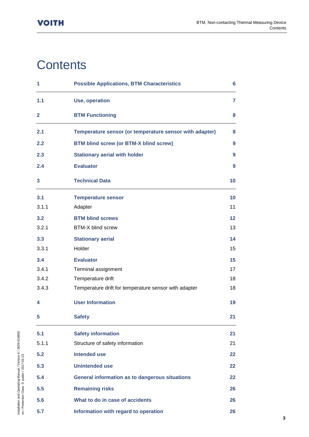## **Contents**

| 1            | <b>Possible Applications, BTM Characteristics</b>       | 6                 |
|--------------|---------------------------------------------------------|-------------------|
| 1.1          | Use, operation                                          | $\overline{7}$    |
| $\mathbf{2}$ | <b>BTM Functioning</b>                                  | 8                 |
| 2.1          | Temperature sensor (or temperature sensor with adapter) | 8                 |
| 2.2          | <b>BTM blind screw (or BTM-X blind screw)</b>           | 9                 |
| 2.3          | <b>Stationary aerial with holder</b>                    | 9                 |
| 2.4          | <b>Evaluator</b>                                        | 9                 |
| 3            | <b>Technical Data</b>                                   | 10                |
| 3.1          | <b>Temperature sensor</b>                               | 10                |
| 3.1.1        | Adapter                                                 | 11                |
| 3.2          | <b>BTM blind screws</b>                                 | $12 \overline{ }$ |
| 3.2.1        | <b>BTM-X blind screw</b>                                | 13                |
| 3.3          | <b>Stationary aerial</b>                                | 14                |
| 3.3.1        | Holder                                                  | 15                |
| 3.4          | <b>Evaluator</b>                                        | 15                |
| 3.4.1        | Terminal assignment                                     | 17                |
| 3.4.2        | Temperature drift                                       | 18                |
| 3.4.3        | Temperature drift for temperature sensor with adapter   | 18                |
| 4            | <b>User Information</b>                                 | 19                |
| 5            | <b>Safety</b>                                           | 21                |
| 5.1          | <b>Safety information</b>                               | 21                |
| 5.1.1        | Structure of safety information                         | 21                |
| 5.2          | <b>Intended use</b>                                     | $22 \,$           |
| 5.3          | <b>Unintended use</b>                                   | $22 \,$           |
| 5.4          | <b>General information as to dangerous situations</b>   | $22 \,$           |
| 5.5          | <b>Remaining risks</b>                                  | 26                |
| 5.6          | What to do in case of accidents                         | 26                |
| 5.7          | Information with regard to operation                    | 26                |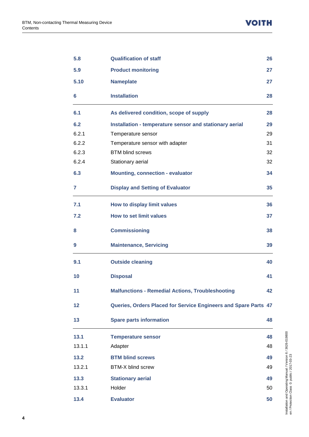| 5.8    | <b>Qualification of staff</b>                                   | 26 |
|--------|-----------------------------------------------------------------|----|
| 5.9    | <b>Product monitoring</b>                                       | 27 |
| 5.10   | <b>Nameplate</b>                                                | 27 |
| 6      | <b>Installation</b>                                             | 28 |
| 6.1    | As delivered condition, scope of supply                         | 28 |
| 6.2    | Installation - temperature sensor and stationary aerial         | 29 |
| 6.2.1  | Temperature sensor                                              | 29 |
| 6.2.2  | Temperature sensor with adapter                                 | 31 |
| 6.2.3  | <b>BTM blind screws</b>                                         | 32 |
| 6.2.4  | Stationary aerial                                               | 32 |
| 6.3    | <b>Mounting, connection - evaluator</b>                         | 34 |
| 7      | <b>Display and Setting of Evaluator</b>                         | 35 |
| 7.1    | How to display limit values                                     | 36 |
| 7.2    | <b>How to set limit values</b>                                  | 37 |
| 8      | <b>Commissioning</b>                                            | 38 |
| 9      | <b>Maintenance, Servicing</b>                                   | 39 |
| 9.1    | <b>Outside cleaning</b>                                         | 40 |
| 10     | <b>Disposal</b>                                                 | 41 |
| 11     | <b>Malfunctions - Remedial Actions, Troubleshooting</b>         | 42 |
| 12     | Queries, Orders Placed for Service Engineers and Spare Parts 47 |    |
| 13     | <b>Spare parts information</b>                                  | 48 |
| 13.1   | <b>Temperature sensor</b>                                       | 48 |
| 13.1.1 | Adapter                                                         | 48 |
| 13.2   | <b>BTM blind screws</b>                                         | 49 |
| 13.2.1 | BTM-X blind screw                                               | 49 |
| 13.3   | <b>Stationary aerial</b>                                        | 49 |
| 13.3.1 | Holder                                                          | 50 |
|        |                                                                 |    |
| 13.4   | <b>Evaluator</b>                                                | 50 |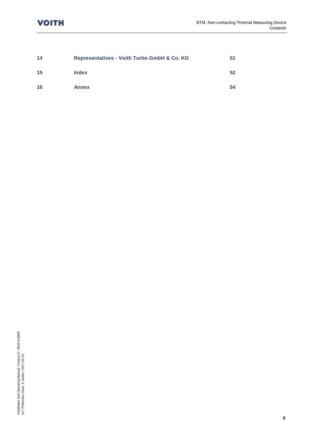| 14 | <b>Representatives - Voith Turbo GmbH &amp; Co. KG</b> | 51 |
|----|--------------------------------------------------------|----|
| 15 | <b>Index</b>                                           | 52 |
| 16 | <b>Annex</b>                                           | 54 |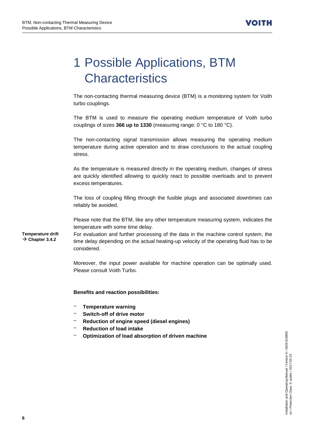## <span id="page-5-0"></span>1 Possible Applications, BTM **Characteristics**

The non-contacting thermal measuring device (BTM) is a monitoring system for Voith turbo couplings.

The BTM is used to measure the operating medium temperature of Voith turbo couplings of sizes **366 up to 1330** (measuring range: 0 °C to 180 °C).

The non-contacting signal transmission allows measuring the operating medium temperature during active operation and to draw conclusions to the actual coupling stress.

As the temperature is measured directly in the operating medium, changes of stress are quickly identified allowing to quickly react to possible overloads and to prevent excess temperatures.

The loss of coupling filling through the fusible plugs and associated downtimes can reliably be avoided.

Please note that the BTM, like any other temperature measuring system, indicates the temperature with some time delay.

**Temperature drift Chapter [3.4.2](#page-17-0)**

For evaluation and further processing of the data in the machine control system, the time delay depending on the actual heating-up velocity of the operating fluid has to be considered.

Moreover, the input power available for machine operation can be optimally used. Please consult Voith Turbo.

#### **Benefits and reaction possibilities:**

- **Temperature warning**
- **Switch-off of drive motor**
- **Reduction of engine speed (diesel engines)**
- **Reduction of load intake**
- **Optimization of load absorption of driven machine**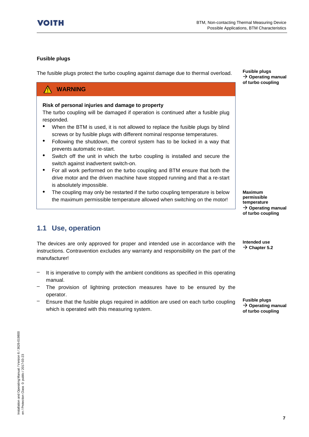#### **Fusible plugs**

The fusible plugs protect the turbo coupling against damage due to thermal overload.

#### **WARNING** Λ

#### **Risk of personal injuries and damage to property**

The turbo coupling will be damaged if operation is continued after a fusible plug responded.

- When the BTM is used, it is not allowed to replace the fusible plugs by blind screws or by fusible plugs with different nominal response temperatures.
- Following the shutdown, the control system has to be locked in a way that prevents automatic re-start.
- Switch off the unit in which the turbo coupling is installed and secure the switch against inadvertent switch-on.
- For all work performed on the turbo coupling and BTM ensure that both the drive motor and the driven machine have stopped running and that a re-start is absolutely impossible.
- The coupling may only be restarted if the turbo coupling temperature is below the maximum permissible temperature allowed when switching on the motor!

**Maximum permissible temperature Operating manual of turbo coupling**

## <span id="page-6-0"></span>**1.1 Use, operation**

The devices are only approved for proper and intended use in accordance with the instructions. Contravention excludes any warranty and responsibility on the part of the manufacturer! **Intended use**  $\rightarrow$  Chapter [5.2](#page-21-0)

- It is imperative to comply with the ambient conditions as specified in this operating manual.
- The provision of lightning protection measures have to be ensured by the operator.
- Ensure that the fusible plugs required in addition are used on each turbo coupling which is operated with this measuring system.

**Fusible plugs Operating manual of turbo coupling**

**Fusible plugs Operating manual of turbo coupling**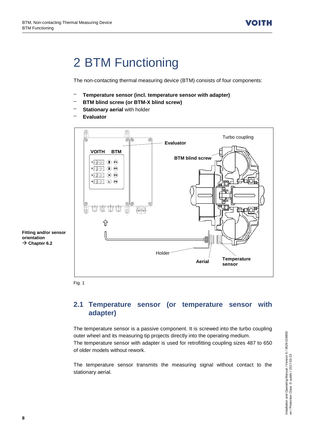## <span id="page-7-0"></span>2 BTM Functioning

The non-contacting thermal measuring device (BTM) consists of four components:

- **Temperature sensor (incl. temperature sensor with adapter)**
- **BTM blind screw (or BTM-X blind screw)**
- **Stationary aerial with holder**
- **Evaluator**



**Fitting and/or sensor orientation**  $\rightarrow$  Chapter [6.2](#page-28-0)



### <span id="page-7-1"></span>**2.1 Temperature sensor (or temperature sensor with adapter)**

The temperature sensor is a passive component. It is screwed into the turbo coupling outer wheel and its measuring tip projects directly into the operating medium. The temperature sensor with adapter is used for retrofitting coupling sizes 487 to 650 of older models without rework.

The temperature sensor transmits the measuring signal without contact to the stationary aerial.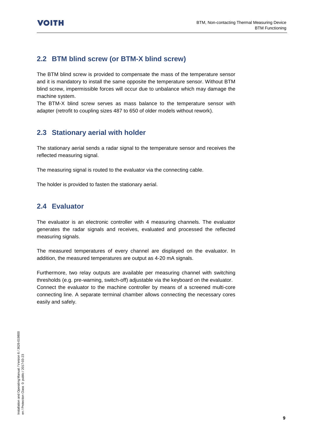## <span id="page-8-0"></span>**2.2 BTM blind screw (or BTM-X blind screw)**

The BTM blind screw is provided to compensate the mass of the temperature sensor and it is mandatory to install the same opposite the temperature sensor. Without BTM blind screw, impermissible forces will occur due to unbalance which may damage the machine system.

The BTM-X blind screw serves as mass balance to the temperature sensor with adapter (retrofit to coupling sizes 487 to 650 of older models without rework).

### <span id="page-8-1"></span>**2.3 Stationary aerial with holder**

The stationary aerial sends a radar signal to the temperature sensor and receives the reflected measuring signal.

The measuring signal is routed to the evaluator via the connecting cable.

The holder is provided to fasten the stationary aerial.

## <span id="page-8-2"></span>**2.4 Evaluator**

The evaluator is an electronic controller with 4 measuring channels. The evaluator generates the radar signals and receives, evaluated and processed the reflected measuring signals.

The measured temperatures of every channel are displayed on the evaluator. In addition, the measured temperatures are output as 4-20 mA signals.

Furthermore, two relay outputs are available per measuring channel with switching thresholds (e.g. pre-warning, switch-off) adjustable via the keyboard on the evaluator. Connect the evaluator to the machine controller by means of a screened multi-core connecting line. A separate terminal chamber allows connecting the necessary cores easily and safely.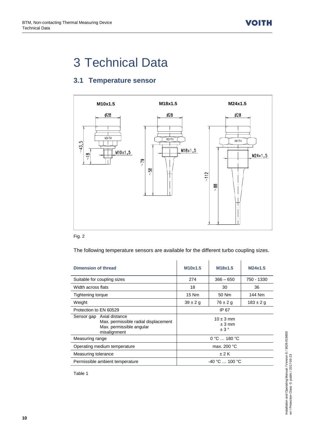## <span id="page-9-0"></span>3 Technical Data

## <span id="page-9-1"></span>**3.1 Temperature sensor**



#### Fig. 2

The following temperature sensors are available for the different turbo coupling sizes.

| Dimension of thread                                                                                                                                                 | M10x1.5         | M18x1.5      | M24x1.5       |  |
|---------------------------------------------------------------------------------------------------------------------------------------------------------------------|-----------------|--------------|---------------|--|
| Suitable for coupling sizes                                                                                                                                         | 274             | $366 - 650$  | 750 - 1330    |  |
| Width across flats                                                                                                                                                  | 18              | 30           | 36            |  |
| Tightening torque                                                                                                                                                   | 15 Nm           | 50 Nm        | 144 Nm        |  |
| Weight                                                                                                                                                              | $39 \pm 2 g$    | $76 \pm 2 g$ | $183 \pm 2 g$ |  |
| Protection to EN 60529                                                                                                                                              | IP 67           |              |               |  |
| Axial distance<br>Sensor gap<br>$10 \pm 3$ mm<br>Max. permissible radial displacement<br>$± 3$ mm<br>Max. permissible angular<br>$\pm$ 3 $^{\circ}$<br>misalignment |                 |              |               |  |
| Measuring range                                                                                                                                                     | 0 °C  180 °C    |              |               |  |
| Operating medium temperature                                                                                                                                        | max. 200 °C     |              |               |  |
| Measuring tolerance                                                                                                                                                 |                 | ±2K          |               |  |
| Permissible ambient temperature                                                                                                                                     | $-40 °C$ 100 °C |              |               |  |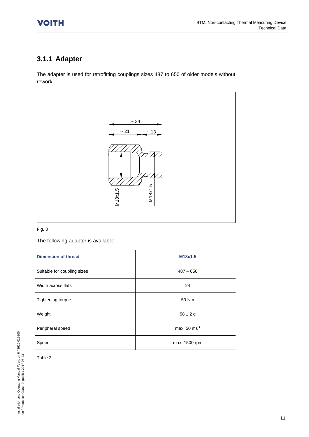## <span id="page-10-0"></span>**3.1.1 Adapter**

The adapter is used for retrofitting couplings sizes 487 to 650 of older models without rework.



#### Fig. 3

The following adapter is available:

| <b>Dimension of thread</b>  | M18x1.5                   |
|-----------------------------|---------------------------|
| Suitable for coupling sizes | $487 - 650$               |
| Width across flats          | 24                        |
| Tightening torque           | 50 Nm                     |
| Weight                      | $58 \pm 2 g$              |
| Peripheral speed            | max. $50 \text{ ms}^{-1}$ |
| Speed                       | max. 1500 rpm             |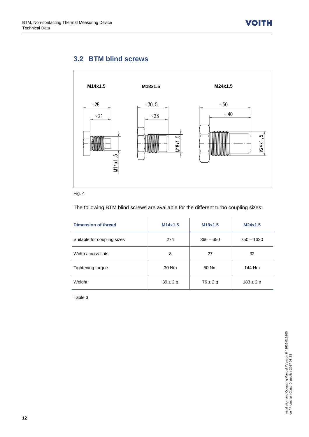## <span id="page-11-0"></span>**3.2 BTM blind screws**



#### Fig. 4

The following BTM blind screws are available for the different turbo coupling sizes:

| Dimension of thread         | M14x1.5      | M18x1.5      | M24x1.5       |
|-----------------------------|--------------|--------------|---------------|
| Suitable for coupling sizes | 274          | $366 - 650$  | $750 - 1330$  |
| Width across flats          | 8            | 27           | 32            |
| Tightening torque           | 30 Nm        | 50 Nm        | 144 Nm        |
| Weight                      | $39 \pm 2 g$ | $76 \pm 2 g$ | $183 \pm 2 g$ |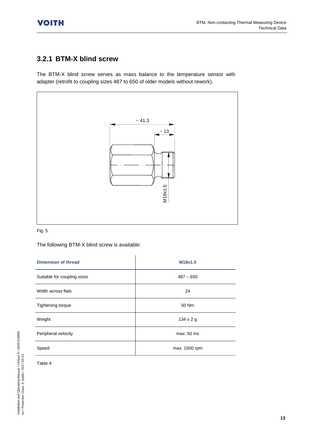## <span id="page-12-0"></span>**3.2.1 BTM-X blind screw**

The BTM-X blind screw serves as mass balance to the temperature sensor with adapter (retrofit to coupling sizes 487 to 650 of older models without rework).



#### Fig. 5

The following BTM-X blind screw is available:

| <b>Dimension of thread</b>  | M18x1.5       |
|-----------------------------|---------------|
| Suitable for coupling sizes | $487 - 650$   |
| Width across flats          | 24            |
| Tightening torque           | 50 Nm         |
| Weight                      | $134 \pm 2 g$ |
| Peripheral velocity         | max. 50 ms    |
| Speed                       | max. 1500 rpm |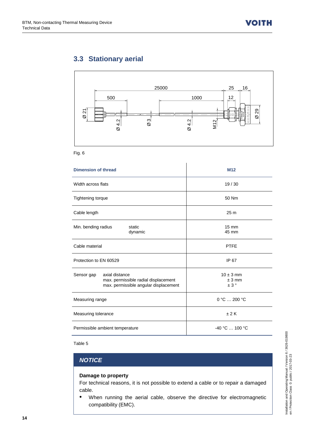## <span id="page-13-0"></span>**3.3 Stationary aerial**



Fig. 6

| <b>Dimension of thread</b>                                                                                    | M <sub>12</sub>                  |  |  |
|---------------------------------------------------------------------------------------------------------------|----------------------------------|--|--|
| Width across flats                                                                                            | 19/30                            |  |  |
| Tightening torque                                                                                             | 50 Nm                            |  |  |
| Cable length                                                                                                  | 25 <sub>m</sub>                  |  |  |
| Min. bending radius<br>static<br>dynamic                                                                      | $15 \text{ mm}$<br>45 mm         |  |  |
| Cable material                                                                                                | <b>PTFE</b>                      |  |  |
| Protection to EN 60529                                                                                        | IP 67                            |  |  |
| axial distance<br>Sensor gap<br>max. permissible radial displacement<br>max. permissible angular displacement | $10 \pm 3$ mm<br>$± 3$ mm<br>±3° |  |  |
| Measuring range                                                                                               | $0 °C$ 200 °C                    |  |  |
| Measuring tolerance                                                                                           | ±2K                              |  |  |
| Permissible ambient temperature                                                                               | $-40 °C$ 100 °C                  |  |  |

Table 5

#### *NOTICE*

#### **Damage to property**

For technical reasons, it is not possible to extend a cable or to repair a damaged cable.

• When running the aerial cable, observe the directive for electromagnetic compatibility (EMC).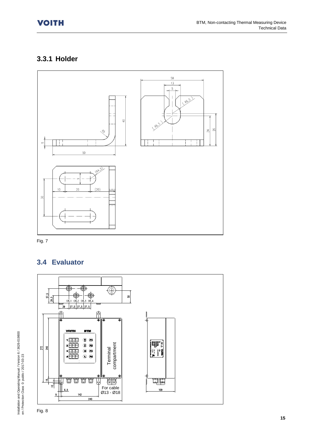## <span id="page-14-0"></span>**3.3.1 Holder**





## <span id="page-14-1"></span>**3.4 Evaluator**



Installation and Operating Manual / Version 6 / 3626-019800

Installation and Operating Manual / Version 6 / 3626-019800<br>en / Protection Class 0: public / 2017-03-23

en / Protection Class 0: public / 2017-03-23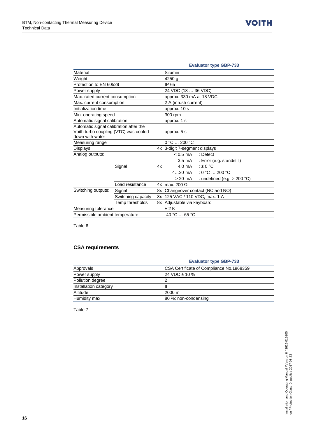|                                                                                                    |                 | <b>Evaluator type GBP-733</b>            |  |  |
|----------------------------------------------------------------------------------------------------|-----------------|------------------------------------------|--|--|
| Material                                                                                           |                 | Silumin                                  |  |  |
| Weight                                                                                             |                 | 4250 g                                   |  |  |
| Protection to EN 60529                                                                             |                 | IP 65                                    |  |  |
| Power supply                                                                                       |                 | 24 VDC (18  36 VDC)                      |  |  |
| Max. rated current consumption                                                                     |                 | approx. 330 mA at 18 VDC                 |  |  |
| Max. current consumption                                                                           |                 | 2 A (inrush current)                     |  |  |
| Initialization time                                                                                |                 | approx. 10 s                             |  |  |
| Min. operating speed                                                                               |                 | 300 rpm                                  |  |  |
| Automatic signal calibration                                                                       |                 | approx. 1 s                              |  |  |
| Automatic signal calibration after the<br>Voith turbo coupling (VTC) was cooled<br>down with water |                 | approx. 5 s                              |  |  |
| Measuring range                                                                                    |                 | $0 °C = 200 °C$                          |  |  |
| Displays                                                                                           |                 | 4x 3-digit 7-segment displays            |  |  |
| Analog outputs:                                                                                    |                 | $< 0.5$ mA<br>: Defect                   |  |  |
|                                                                                                    |                 | 3.5 mA : Error (e.g. standstill)         |  |  |
|                                                                                                    | Signal          | : $\leq 0$ °C<br>4.0 mA<br>4x            |  |  |
|                                                                                                    |                 | : 0 °C $\ldots$ 200 °C<br>$420$ mA       |  |  |
|                                                                                                    |                 | > 20 mA<br>: undefined (e.g. $> 200$ °C) |  |  |
|                                                                                                    | Load resistance | 4x max. 200 $\Omega$                     |  |  |
| Switching outputs:<br>Signal                                                                       |                 | 8x Changeover contact (NC and NO)        |  |  |
| Switching capacity                                                                                 |                 | 8x 125 VAC / 110 VDC, max. 1 A           |  |  |
| Temp thresholds                                                                                    |                 | 8x Adjustable via keyboard               |  |  |
| Measuring tolerance                                                                                |                 | ±2K                                      |  |  |
| Permissible ambient temperature                                                                    |                 | $-40 °C$ 65 °C                           |  |  |

ń

Table 6

#### **CSA requirements**

|                       | <b>Evaluator type GBP-733</b>            |
|-----------------------|------------------------------------------|
| Approvals             | CSA Certificate of Compliance No.1968359 |
| Power supply          | 24 VDC $\pm$ 10 %                        |
| Pollution degree      | 2                                        |
| Installation category | Ш                                        |
| Altitude              | $2000 \text{ m}$                         |
| Humidity max          | 80 %; non-condensing                     |

l,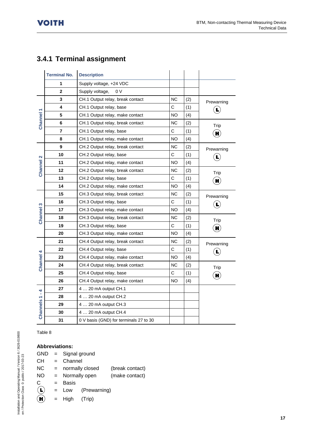## <span id="page-16-0"></span>**3.4.1 Terminal assignment**

|                     | <b>Terminal No.</b> | <b>Description</b>                     |              |     |                                   |  |
|---------------------|---------------------|----------------------------------------|--------------|-----|-----------------------------------|--|
|                     | 1                   | Supply voltage, +24 VDC                |              |     |                                   |  |
|                     | $\mathbf{2}$        | Supply voltage,<br>0 V                 |              |     |                                   |  |
|                     | 3                   | CH.1 Output relay, break contact       | <b>NC</b>    | (2) | Prewarning                        |  |
|                     | 4                   | CH.1 Output relay, base                |              | (1) | $\left  \mathbf{L} \right\rangle$ |  |
|                     | 5                   | NO.<br>CH.1 Output relay, make contact |              | (4) |                                   |  |
| Channel 1           | 6                   | CH.1 Output relay, break contact       | <b>NC</b>    | (2) | Trip                              |  |
|                     | 7                   | CH.1 Output relay, base                |              | (1) | $\mathbf{H}$                      |  |
|                     | 8                   | CH.1 Output relay, make contact        | <b>NO</b>    | (4) |                                   |  |
|                     | 9                   | CH.2 Output relay, break contact       | <b>NC</b>    | (2) | Prewarning                        |  |
| $\mathbf{\Omega}$   | 10                  | CH.2 Output relay, base                | $\mathsf C$  | (1) | $\hat{\mathbf{E}}$                |  |
|                     | 11                  | CH.2 Output relay, make contact        | NO.          | (4) |                                   |  |
| Channel             | 12                  | CH.2 Output relay, break contact       | <b>NC</b>    | (2) | Trip                              |  |
|                     | 13                  | CH.2 Output relay, base                |              | (1) | $\mathbf{H}$                      |  |
|                     | 14                  | CH.2 Output relay, make contact        | NO.          | (4) |                                   |  |
|                     | 15                  | CH.3 Output relay, break contact       | <b>NC</b>    | (2) | Prewarning                        |  |
| S<br><b>Channel</b> | 16                  | CH.3 Output relay, base                | $\mathsf{C}$ | (1) | $\left(\mathbf{L}\right)$         |  |
|                     | 17                  | CH.3 Output relay, make contact        | NO           | (4) |                                   |  |
|                     | 18                  | CH.3 Output relay, break contact       | <b>NC</b>    | (2) | Trip                              |  |
|                     | 19                  | CH.3 Output relay, base                | $\mathsf C$  | (1) | $\mathbf{H}$                      |  |
|                     | 20                  | CH.3 Output relay, make contact        | <b>NO</b>    | (4) |                                   |  |
|                     | 21                  | CH.4 Output relay, break contact       | <b>NC</b>    | (2) | Prewarning                        |  |
|                     | 22                  | CH.4 Output relay, base                | C            | (1) | $\left(\mathbf{L}\right)$         |  |
| Channel 4           | 23                  | CH.4 Output relay, make contact        | <b>NO</b>    | (4) |                                   |  |
|                     | 24                  | CH.4 Output relay, break contact       | ΝC           | (2) | Trip                              |  |
|                     | 25                  | CH.4 Output relay, base                | $\mathsf C$  | (1) | $\mathbf{H}$                      |  |
|                     | 26                  | CH.4 Output relay, make contact        | NO.          | (4) |                                   |  |
| $\vec{r}$           | 27                  | 4  20 mA output CH.1                   |              |     |                                   |  |
|                     | 28                  | 4  20 mA output CH.2                   |              |     |                                   |  |
| <b>Channels1</b>    | 29                  | 4  20 mA output CH.3                   |              |     |                                   |  |
|                     | 30                  | 4  20 mA output CH.4                   |              |     |                                   |  |
|                     | 31                  | 0 V basis (GND) for terminals 27 to 30 |              |     |                                   |  |

#### Table 8

### **Abbreviations:**

| <b>GND</b> |     | = Signal ground |                 |                 |
|------------|-----|-----------------|-----------------|-----------------|
| CН         | $=$ | Channel         |                 |                 |
| NС         | $=$ |                 | normally closed | (break contact) |
| <b>NO</b>  | $=$ |                 | Normally open   | (make contact)  |
| C          | $=$ | Basis           |                 |                 |
|            |     | $=$ Low         | (Prewarning)    |                 |
|            | $=$ | High            | (Trip)          |                 |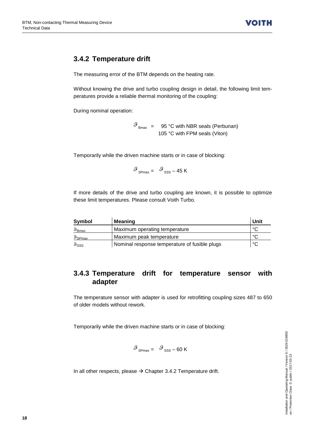## <span id="page-17-0"></span>**3.4.2 Temperature drift**

The measuring error of the BTM depends on the heating rate.

Without knowing the drive and turbo coupling design in detail, the following limit temperatures provide a reliable thermal monitoring of the coupling:

During nominal operation:

 $\mathcal{G}_{\text{Bmax}} = 95 \degree C$  with NBR seals (Perbunan) 105 °C with FPM seals (Viton)

Temporarily while the driven machine starts or in case of blocking:

$$
\mathcal{G}_{\text{SPmax}} = \mathcal{G}_{\text{SSS}} - 45 \text{ K}
$$

If more details of the drive and turbo coupling are known, it is possible to optimize these limit temperatures. Please consult Voith Turbo.

| Symbol                    | Meaning                                       | Unit   |
|---------------------------|-----------------------------------------------|--------|
| $\vartheta_{\text{Bmax}}$ | Maximum operating temperature                 | $\sim$ |
| $\vartheta$ SPmax         | Maximum peak temperature                      | $\sim$ |
| $\vartheta$ sss           | Nominal response temperature of fusible plugs | °C     |

### <span id="page-17-1"></span>**3.4.3 Temperature drift for temperature sensor with adapter**

The temperature sensor with adapter is used for retrofitting coupling sizes 487 to 650 of older models without rework.

Temporarily while the driven machine starts or in case of blocking:

$$
\mathcal{G}_{\text{SPmax}} = \mathcal{G}_{\text{SSS}} - 60 \text{ K}
$$

In all other respects, please  $\rightarrow$  Chapter [3.4.2](#page-17-0) Temperature drift.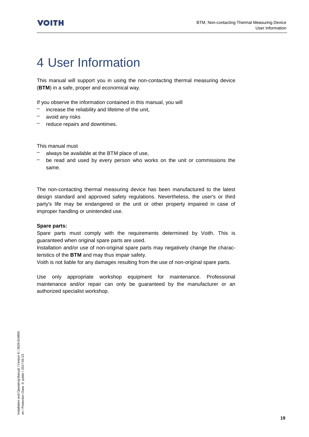## <span id="page-18-0"></span>4 User Information

This manual will support you in using the non-contacting thermal measuring device (**BTM**) in a safe, proper and economical way.

If you observe the information contained in this manual, you will

- $-$  increase the reliability and lifetime of the unit,
- avoid any risks
- reduce repairs and downtimes.

This manual must

- always be available at the BTM place of use,
- be read and used by every person who works on the unit or commissions the same.

The non-contacting thermal measuring device has been manufactured to the latest design standard and approved safety regulations. Nevertheless, the user's or third party's life may be endangered or the unit or other property impaired in case of improper handling or unintended use.

#### **Spare parts:**

Spare parts must comply with the requirements determined by Voith. This is guaranteed when original spare parts are used.

Installation and/or use of non-original spare parts may negatively change the characteristics of the **BTM** and may thus impair safety.

Voith is not liable for any damages resulting from the use of non-original spare parts.

Use only appropriate workshop equipment for maintenance. Professional maintenance and/or repair can only be guaranteed by the manufacturer or an authorized specialist workshop.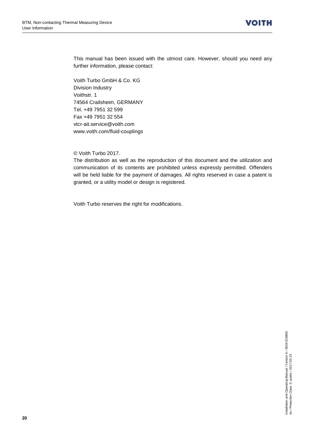This manual has been issued with the utmost care. However, should you need any further information, please contact:

Voith Turbo GmbH & Co. KG Division Industry Voithstr. 1 74564 Crailsheim, GERMANY Tel. +49 7951 32 599 Fax +49 7951 32 554 vtcr-ait.service@voith.com www.voith.com/fluid-couplings

© Voith Turbo 2017.

The distribution as well as the reproduction of this document and the utilization and communication of its contents are prohibited unless expressly permitted. Offenders will be held liable for the payment of damages. All rights reserved in case a patent is granted, or a utility model or design is registered.

Voith Turbo reserves the right for modifications.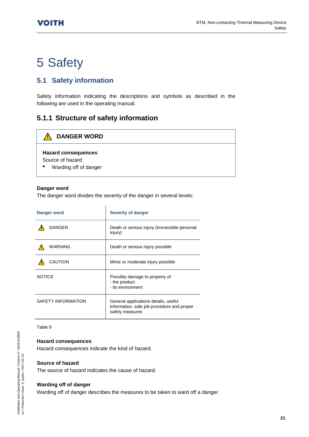## <span id="page-20-0"></span>5 Safety

## <span id="page-20-1"></span>**5.1 Safety information**

Safety information indicating the descriptions and symbols as described in the following are used in the operating manual.

## <span id="page-20-2"></span>**5.1.1 Structure of safety information**

#### ⚠ **DANGER WORD**

#### **Hazard consequences**

Source of hazard

• Warding off of danger

#### **Danger word**

The danger word divides the severity of the danger in several levels:

| Danger word        | Severity of danger                                                                                    |
|--------------------|-------------------------------------------------------------------------------------------------------|
| DANGER             | Death or serious injury (irreversible personal<br>injury)                                             |
| WARNING            | Death or serious injury possible                                                                      |
| CAUTION            | Minor or moderate injury possible                                                                     |
| <b>NOTICE</b>      | Possibly damage to property of<br>- the product<br>- its environment                                  |
| SAFETY INFORMATION | General applications details, useful<br>information, safe job procedure and proper<br>safety measures |

#### Table 9

#### **Hazard consequences**

Hazard consequences indicate the kind of hazard.

#### **Source of hazard**

The source of hazard indicates the cause of hazard.

#### **Warding off of danger**

Warding off of danger describes the measures to be taken to ward off a danger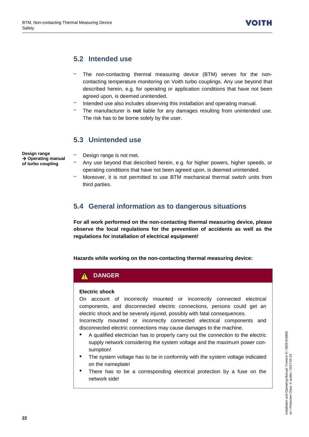## <span id="page-21-0"></span>**5.2 Intended use**

- The non-contacting thermal measuring device (BTM) serves for the noncontacting temperature monitoring on Voith turbo couplings. Any use beyond that described herein, e.g. for operating or application conditions that have not been agreed upon, is deemed unintended.
- Intended use also includes observing this installation and operating manual.
- The manufacturer is **not** liable for any damages resulting from unintended use. The risk has to be borne solely by the user.

### <span id="page-21-1"></span>**5.3 Unintended use**

**Design range Operating manual of turbo coupling**

- Design range is not met.
	- Any use beyond that described herein, e.g. for higher powers, higher speeds, or operating conditions that have not been agreed upon, is deemed unintended.
- Moreover, it is not permitted to use BTM mechanical thermal switch units from third parties.

## <span id="page-21-2"></span>**5.4 General information as to dangerous situations**

**For all work performed on the non-contacting thermal measuring device, please observe the local regulations for the prevention of accidents as well as the regulations for installation of electrical equipment!**

**Hazards while working on the non-contacting thermal measuring device:**

## **DANGER**

#### **Electric shock**

On account of incorrectly mounted or incorrectly connected electrical components, and disconnected electric connections, persons could get an electric shock and be severely injured, possibly with fatal consequences.

Incorrectly mounted or incorrectly connected electrical components and disconnected electric connections may cause damages to the machine.

- A qualified electrician has to properly carry out the connection to the electric supply network considering the system voltage and the maximum power consumption!
- The system voltage has to be in conformity with the system voltage indicated on the nameplate!
- There has to be a corresponding electrical protection by a fuse on the network side!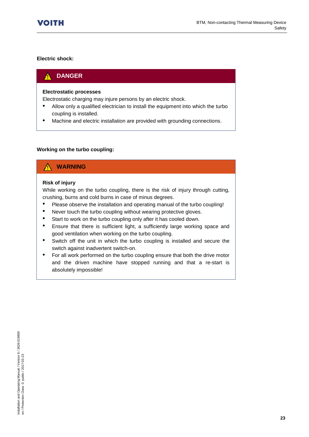#### **Electric shock:**

#### **DANGER**  $\boldsymbol{\Lambda}$

#### **Electrostatic processes**

Electrostatic charging may injure persons by an electric shock.

- Allow only a qualified electrician to install the equipment into which the turbo coupling is installed.
- Machine and electric installation are provided with grounding connections.

#### **Working on the turbo coupling:**

## **WARNING**

#### **Risk of injury**

While working on the turbo coupling, there is the risk of injury through cutting, crushing, burns and cold burns in case of minus degrees.

- Please observe the installation and operating manual of the turbo coupling!
- Never touch the turbo coupling without wearing protective gloves.
- Start to work on the turbo coupling only after it has cooled down.
- Ensure that there is sufficient light, a sufficiently large working space and good ventilation when working on the turbo coupling.
- Switch off the unit in which the turbo coupling is installed and secure the switch against inadvertent switch-on.
- For all work performed on the turbo coupling ensure that both the drive motor and the driven machine have stopped running and that a re-start is absolutely impossible!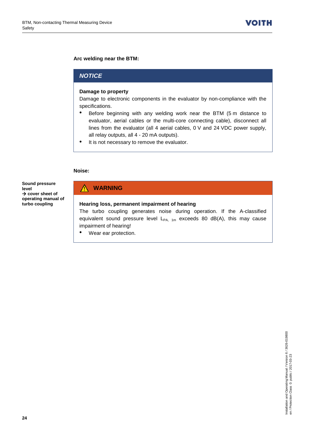#### **Arc welding near the BTM:**

#### *NOTICE*

#### **Damage to property**

Damage to electronic components in the evaluator by non-compliance with the specifications.

- Before beginning with any welding work near the BTM (5 m distance to evaluator, aerial cables or the multi-core connecting cable), disconnect all lines from the evaluator (all 4 aerial cables, 0 V and 24 VDC power supply, all relay outputs, all 4 - 20 mA outputs).
- It is not necessary to remove the evaluator.

#### **Noise:**

**Sound pressure level**  $→$  **cover sheet of operating manual of turbo coupling**

### **WARNING**

#### **Hearing loss, permanent impairment of hearing**

The turbo coupling generates noise during operation. If the A-classified equivalent sound pressure level  $L_{PA, 1m}$  exceeds 80 dB(A), this may cause impairment of hearing!

• Wear ear protection.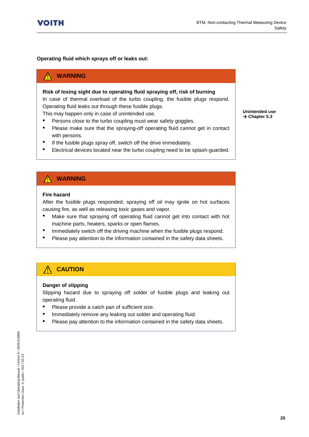#### **Operating fluid which sprays off or leaks out:**

#### **WARNING**

#### **Risk of losing sight due to operating fluid spraying off, risk of burning**

In case of thermal overload of the turbo coupling, the fusible plugs respond. Operating fluid leaks out through these fusible plugs.

This may happen only in case of unintended use.

- Persons close to the turbo coupling must wear safety goggles.
- Please make sure that the spraying-off operating fluid cannot get in contact with persons.
- If the fusible plugs spray off, switch off the drive immediately.
- Electrical devices located near the turbo coupling need to be splash-guarded.

**Unintended use**  $\rightarrow$  Chapte[r 5.3](#page-21-1)

### **WARNING**

#### **Fire hazard**

After the fusible plugs responded, spraying off oil may ignite on hot surfaces causing fire, as well as releasing toxic gases and vapor.

- Make sure that spraying off operating fluid cannot get into contact with hot machine parts, heaters, sparks or open flames.
- Immediately switch off the driving machine when the fusible plugs respond.
- Please pay attention to the information contained in the safety data sheets.

#### ∕Ւ **CAUTION**

#### **Danger of slipping**

Slipping hazard due to spraying off solder of fusible plugs and leaking out operating fluid.

- Please provide a catch pan of sufficient size.
- Immediately remove any leaking out solder and operating fluid.
- Please pay attention to the information contained in the safety data sheets.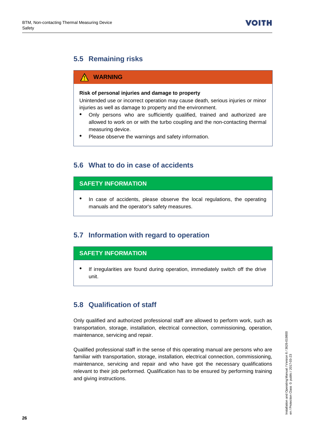## <span id="page-25-0"></span>**5.5 Remaining risks**

### **WARNING**

#### **Risk of personal injuries and damage to property**

Unintended use or incorrect operation may cause death, serious injuries or minor injuries as well as damage to property and the environment.

- Only persons who are sufficiently qualified, trained and authorized are allowed to work on or with the turbo coupling and the non-contacting thermal measuring device.
- Please observe the warnings and safety information.

## <span id="page-25-1"></span>**5.6 What to do in case of accidents**

#### **SAFETY INFORMATION**

• In case of accidents, please observe the local regulations, the operating manuals and the operator's safety measures.

## <span id="page-25-2"></span>**5.7 Information with regard to operation**

#### **SAFETY INFORMATION**

If irregularities are found during operation, immediately switch off the drive unit.

## <span id="page-25-3"></span>**5.8 Qualification of staff**

Only qualified and authorized professional staff are allowed to perform work, such as transportation, storage, installation, electrical connection, commissioning, operation, maintenance, servicing and repair.

Qualified professional staff in the sense of this operating manual are persons who are familiar with transportation, storage, installation, electrical connection, commissioning, maintenance, servicing and repair and who have got the necessary qualifications relevant to their job performed. Qualification has to be ensured by performing training and giving instructions.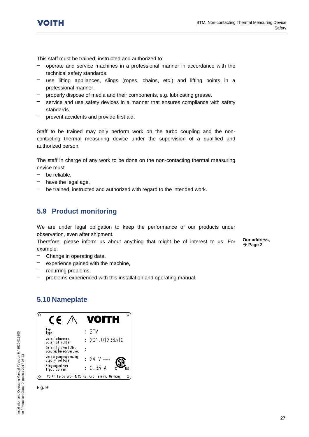

This staff must be trained, instructed and authorized to:

- operate and service machines in a professional manner in accordance with the technical safety standards.
- use lifting appliances, slings (ropes, chains, etc.) and lifting points in a professional manner.
- properly dispose of media and their components, e.g. lubricating grease.
- service and use safety devices in a manner that ensures compliance with safety standards.
- prevent accidents and provide first aid.

Staff to be trained may only perform work on the turbo coupling and the noncontacting thermal measuring device under the supervision of a qualified and authorized person.

The staff in charge of any work to be done on the non-contacting thermal measuring device must

- be reliable.
- have the legal age,
- be trained, instructed and authorized with regard to the intended work.

### <span id="page-26-0"></span>**5.9 Product monitoring**

We are under legal obligation to keep the performance of our products under observation, even after shipment.

Therefore, please inform us about anything that might be of interest to us. For example:

**Our address,**   $\rightarrow$  Page 2

- Change in operating data,
- experience gained with the machine,
- recurring problems,
- problems experienced with this installation and operating manual.

#### <span id="page-26-1"></span>**5.10 Nameplate**



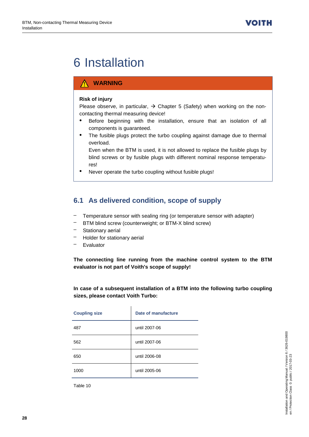## <span id="page-27-0"></span>6 Installation

#### **WARNING**

#### **Risk of injury**

Please observe, in particular,  $\rightarrow$  Chapter [5](#page-20-0) (Safety) when working on the noncontacting thermal measuring device!

- Before beginning with the installation, ensure that an isolation of all components is guaranteed.
- The fusible plugs protect the turbo coupling against damage due to thermal overload.

Even when the BTM is used, it is not allowed to replace the fusible plugs by blind screws or by fusible plugs with different nominal response temperatures!

Never operate the turbo coupling without fusible plugs!

## <span id="page-27-1"></span>**6.1 As delivered condition, scope of supply**

- Temperature sensor with sealing ring (or temperature sensor with adapter)
- BTM blind screw (counterweight; or BTM-X blind screw)
- Stationary aerial
- Holder for stationary aerial
- Evaluator

**The connecting line running from the machine control system to the BTM evaluator is not part of Voith's scope of supply!**

**In case of a subsequent installation of a BTM into the following turbo coupling sizes, please contact Voith Turbo:** 

| <b>Coupling size</b> | Date of manufacture |
|----------------------|---------------------|
| 487                  | until 2007-06       |
| 562                  | until 2007-06       |
| 650                  | until 2006-08       |
| 1000                 | until 2005-06       |

 $\mathbf{r}$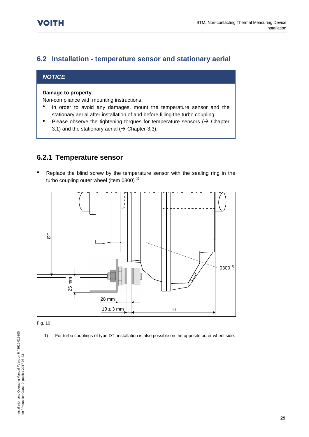## <span id="page-28-0"></span>**6.2 Installation - temperature sensor and stationary aerial**

#### *NOTICE*

#### **Damage to property**

Non-compliance with mounting instructions.

- In order to avoid any damages, mount the temperature sensor and the stationary aerial after installation of and before filling the turbo coupling.
- Please observe the tightening torques for temperature sensors  $( \rightarrow$  Chapter [3.1\)](#page-9-1) and the stationary aerial ( $\rightarrow$  Chapter [3.3\)](#page-13-0).

### <span id="page-28-1"></span>**6.2.1 Temperature sensor**

Replace the blind screw by the temperature sensor with the sealing ring in the turbo coupling outer wheel (item 0300) $<sup>1</sup>$ .</sup>



#### Fig. 10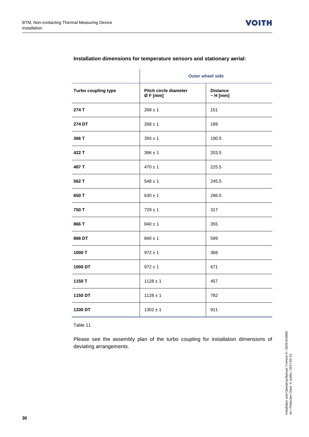|                     | <b>Outer wheel side</b>         |                                  |  |
|---------------------|---------------------------------|----------------------------------|--|
| Turbo coupling type | Pitch circle diameter<br>ØF[mm] | <b>Distance</b><br>$\sim$ H [mm] |  |
| 274 T               | $268 \pm 1$                     | 151                              |  |
| 274 DT              | $268 \pm 1$                     | 189                              |  |
| 366 T               | $350 \pm 1$                     | 190.5                            |  |
| 422 T               | $396 \pm 1$                     | 203.5                            |  |
| 487 T               | $470 \pm 1$                     | 225.5                            |  |
| 562 T               | $548 \pm 1$                     | 245.5                            |  |
| 650 T               | $630 \pm 1$                     | 286.5                            |  |
| 750 T               | $729 \pm 1$                     | 317                              |  |
| 866 T               | $840 \pm 1$                     | 355                              |  |
| 866 DT              | $840 \pm 1$                     | 599                              |  |
| 1000 T              | $972 \pm 1$                     | 368                              |  |
| 1000 DT             | $972 \pm 1$                     | 671                              |  |
| 1150 T              | $1128 \pm 1$                    | 457                              |  |
| 1150 DT             | $1128 \pm 1$                    | 782                              |  |
| 1330 DT             | $1302 \pm 1$                    | 911                              |  |

#### **Installation dimensions for temperature sensors and stationary aerial:**

Table 11

Please see the assembly plan of the turbo coupling for installation dimensions of deviating arrangements.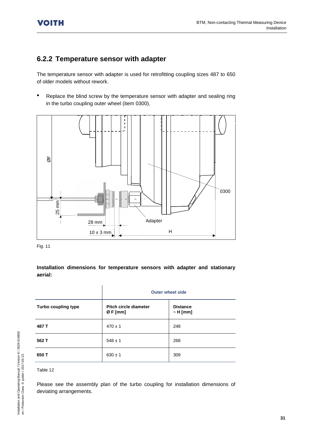## <span id="page-30-0"></span>**6.2.2 Temperature sensor with adapter**

The temperature sensor with adapter is used for retrofitting coupling sizes 487 to 650 of older models without rework.

Replace the blind screw by the temperature sensor with adapter and sealing ring in the turbo coupling outer wheel (item 0300).



| $25 \, \text{mm}$<br>28 mm | Adapter                                  |                                                                                                        |
|----------------------------|------------------------------------------|--------------------------------------------------------------------------------------------------------|
|                            | $10 \pm 3 \text{ mm}$                    | H                                                                                                      |
| Fig. 11                    |                                          |                                                                                                        |
| aerial:                    |                                          | Installation dimensions for temperature sensors with adapter and stationary<br><b>Outer wheel side</b> |
| Turbo coupling type        | <b>Pitch circle diameter</b><br>Ø F [mm] | <b>Distance</b><br>$~\sim$ H [mm]                                                                      |
| 487 T                      | $470 \pm 1$                              | 248                                                                                                    |
| 562 T                      | $548 \pm 1$                              | 268                                                                                                    |
| 650 T                      | $630 \pm 1$                              | 309                                                                                                    |
| Table 12                   |                                          |                                                                                                        |
| deviating arrangements.    |                                          | Please see the assembly plan of the turbo coupling for installation dimensions of                      |

#### Table 12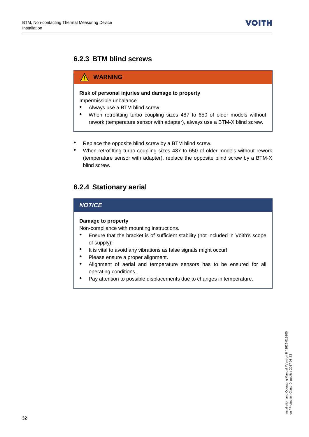## <span id="page-31-0"></span>**6.2.3 BTM blind screws**

#### **WARNING** ∕Ւ

#### **Risk of personal injuries and damage to property**

Impermissible unbalance.

- Always use a BTM blind screw.
- When retrofitting turbo coupling sizes 487 to 650 of older models without rework (temperature sensor with adapter), always use a BTM-X blind screw.
- Replace the opposite blind screw by a BTM blind screw.
- When retrofitting turbo coupling sizes 487 to 650 of older models without rework (temperature sensor with adapter), replace the opposite blind screw by a BTM-X blind screw.

## <span id="page-31-1"></span>**6.2.4 Stationary aerial**

#### *NOTICE*

#### **Damage to property**

Non-compliance with mounting instructions.

- Ensure that the bracket is of sufficient stability (not included in Voith's scope of supply)!
- It is vital to avoid any vibrations as false signals might occur!
- Please ensure a proper alignment.
- Alignment of aerial and temperature sensors has to be ensured for all operating conditions.
- Pay attention to possible displacements due to changes in temperature.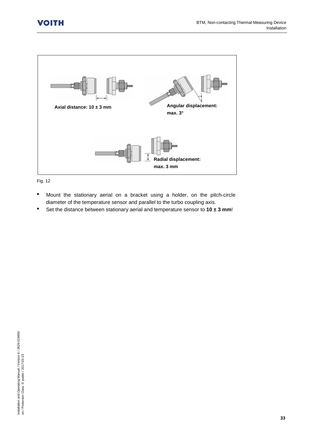

Fig. 12

- Mount the stationary aerial on a bracket using a holder, on the pitch-circle diameter of the temperature sensor and parallel to the turbo coupling axis.
- Set the distance between stationary aerial and temperature sensor to **10 ± 3 mm**!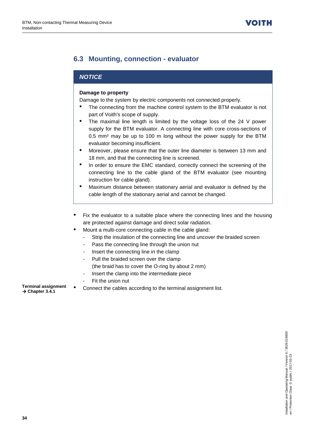## <span id="page-33-0"></span>**6.3 Mounting, connection - evaluator**

#### *NOTICE*

#### **Damage to property**

Damage to the system by electric components not connected properly.

- The connecting from the machine control system to the BTM evaluator is not part of Voith's scope of supply.
- The maximal line length is limited by the voltage loss of the 24 V power supply for the BTM evaluator. A connecting line with core cross-sections of 0.5 mm² may be up to 100 m long without the power supply for the BTM evaluator becoming insufficient.
- Moreover, please ensure that the outer line diameter is between 13 mm and 18 mm, and that the connecting line is screened.
- In order to ensure the EMC standard, correctly connect the screening of the connecting line to the cable gland of the BTM evaluator (see mounting instruction for cable gland).
- Maximum distance between stationary aerial and evaluator is defined by the cable length of the stationary aerial and cannot be changed.
- Fix the evaluator to a suitable place where the connecting lines and the housing are protected against damage and direct solar radiation.
- Mount a multi-core connecting cable in the cable gland:
	- Strip the insulation of the connecting line and uncover the braided screen
	- Pass the connecting line through the union nut
	- Insert the connecting line in the clamp
	- Pull the braided screen over the clamp (the braid has to cover the O-ring by about 2 mm)
	- Insert the clamp into the intermediate piece
	- Fit the union nut
- **Ferminal assignment** Connect the cables according to the terminal assignment list.

**Chapte[r 3.4.1](#page-16-0)**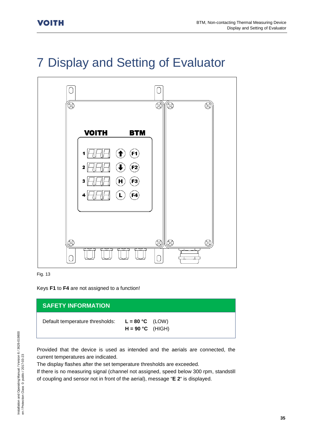## <span id="page-34-0"></span>7 Display and Setting of Evaluator



Fig. 13

Keys **F1** to **F4** are not assigned to a function!

#### **SAFETY INFORMATION**

Default temperature thresholds: **L = 80 °C** (LOW)

```
H = 90 °C (HIGH)
```
Provided that the device is used as intended and the aerials are connected, the current temperatures are indicated.

The display flashes after the set temperature thresholds are exceeded.

If there is no measuring signal (channel not assigned, speed below 300 rpm, standstill of coupling and sensor not in front of the aerial), message "**E 2**" is displayed.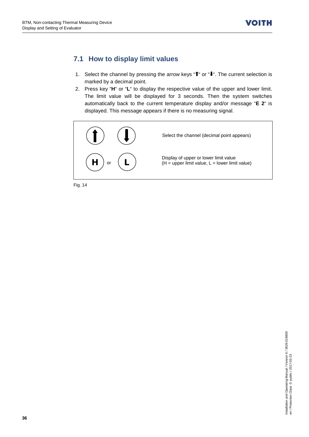## <span id="page-35-0"></span>**7.1 How to display limit values**

- 1. Select the channel by pressing the arrow keys " $\mathbf{f}$ " or " $\mathbf{I}$ ". The current selection is marked by a decimal point.
- 2. Press key "**H**" or "**L**" to display the respective value of the upper and lower limit. The limit value will be displayed for 3 seconds. Then the system switches automatically back to the current temperature display and/or message "**E 2**" is displayed. This message appears if there is no measuring signal.



Fig. 14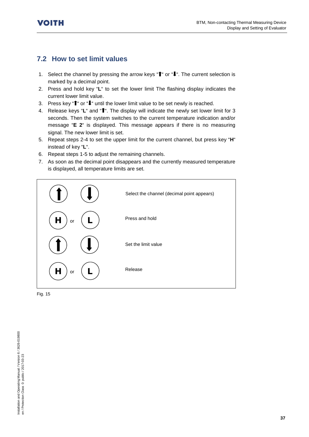## <span id="page-36-0"></span>**7.2 How to set limit values**

- 1. Select the channel by pressing the arrow keys " $\hat{I}$ " or " $\hat{I}$ ". The current selection is marked by a decimal point.
- 2. Press and hold key "**L**" to set the lower limit The flashing display indicates the current lower limit value.
- 3. Press key " $\mathbf{f}$ " or " $\mathbf{I}$ " until the lower limit value to be set newly is reached.
- 4. Release keys "L" and "<sup>1</sup>". The display will indicate the newly set lower limit for 3 seconds. Then the system switches to the current temperature indication and/or message "**E 2**" is displayed. This message appears if there is no measuring signal. The new lower limit is set.
- 5. Repeat steps 2-4 to set the upper limit for the current channel, but press key "**H**" instead of key "**L**".
- 6. Repeat steps 1-5 to adjust the remaining channels.
- 7. As soon as the decimal point disappears and the currently measured temperature is displayed, all temperature limits are set.



Fig. 15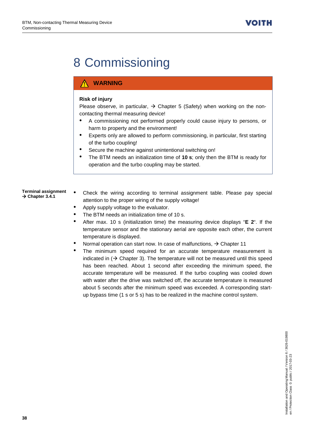## <span id="page-37-0"></span>8 Commissioning

#### **WARNING**

#### **Risk of injury**

Please observe, in particular,  $\rightarrow$  Chapter [5](#page-20-0) (Safety) when working on the noncontacting thermal measuring device!

- A commissioning not performed properly could cause injury to persons, or harm to property and the environment!
- Experts only are allowed to perform commissioning, in particular, first starting of the turbo coupling!
- Secure the machine against unintentional switching on!
- The BTM needs an initialization time of **10 s**; only then the BTM is ready for operation and the turbo coupling may be started.

**Terminal assignment Chapte[r 3.4.1](#page-16-0)**

- Check the wiring according to terminal assignment table. Please pay special attention to the proper wiring of the supply voltage!
- Apply supply voltage to the evaluator.
- The BTM needs an initialization time of 10 s.
- After max. 10 s (initialization time) the measuring device displays "**E 2**". If the temperature sensor and the stationary aerial are opposite each other, the current temperature is displayed.
- Normal operation can start now. In case of malfunctions,  $\rightarrow$  Chapter [11](#page-41-0)
- The minimum speed required for an accurate temperature measurement is indicated in  $($   $\rightarrow$  Chapter [3\)](#page-9-0). The temperature will not be measured until this speed has been reached. About 1 second after exceeding the minimum speed, the accurate temperature will be measured. If the turbo coupling was cooled down with water after the drive was switched off, the accurate temperature is measured about 5 seconds after the minimum speed was exceeded. A corresponding startup bypass time (1 s or 5 s) has to be realized in the machine control system.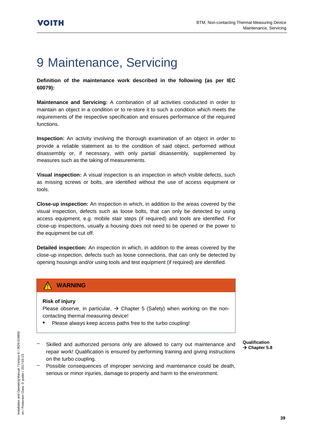## <span id="page-38-0"></span>9 Maintenance, Servicing

**Definition of the maintenance work described in the following (as per IEC 60079):**

**Maintenance and Servicing:** A combination of all activities conducted in order to maintain an object in a condition or to re-store it to such a condition which meets the requirements of the respective specification and ensures performance of the required functions.

**Inspection:** An activity involving the thorough examination of an object in order to provide a reliable statement as to the condition of said object, performed without disassembly or, if necessary, with only partial disassembly, supplemented by measures such as the taking of measurements.

**Visual inspection:** A visual inspection is an inspection in which visible defects, such as missing screws or bolts, are identified without the use of access equipment or tools.

**Close-up inspection:** An inspection in which, in addition to the areas covered by the visual inspection, defects such as loose bolts, that can only be detected by using access equipment, e.g. mobile stair steps (if required) and tools are identified. For close-up inspections, usually a housing does not need to be opened or the power to the equipment be cut off.

**Detailed inspection:** An inspection in which, in addition to the areas covered by the close-up inspection, defects such as loose connections, that can only be detected by opening housings and/or using tools and test equipment (if required) are identified.

### **WARNING**

#### **Risk of injury**

Please observe, in particular,  $\rightarrow$  Chapter [5](#page-20-0) (Safety) when working on the noncontacting thermal measuring device!

• Please always keep access paths free to the turbo coupling!

- **Qualification Chapte[r 5.8](#page-25-3)**
- Skilled and authorized persons only are allowed to carry out maintenance and repair work! Qualification is ensured by performing training and giving instructions on the turbo coupling.
- Possible consequences of improper servicing and maintenance could be death, serious or minor injuries, damage to property and harm to the environment.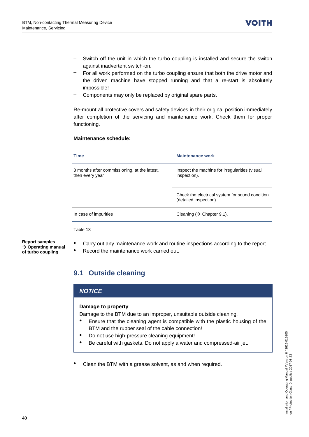- Switch off the unit in which the turbo coupling is installed and secure the switch against inadvertent switch-on.
- For all work performed on the turbo coupling ensure that both the drive motor and the driven machine have stopped running and that a re-start is absolutely impossible!
- Components may only be replaced by original spare parts.

Re-mount all protective covers and safety devices in their original position immediately after completion of the servicing and maintenance work. Check them for proper functioning.

#### **Maintenance schedule:**

| <b>Time</b>                                                     | <b>Maintenance work</b>                                                   |
|-----------------------------------------------------------------|---------------------------------------------------------------------------|
| 3 months after commissioning, at the latest,<br>then every year | Inspect the machine for irregularities (visual<br>inspection).            |
|                                                                 | Check the electrical system for sound condition<br>(detailed inspection). |
| In case of impurities                                           | Cleaning $(\rightarrow$ Chapter 9.1).                                     |

Table 13

**Report samples Operating manual of turbo coupling**

- Carry out any maintenance work and routine inspections according to the report.
- Record the maintenance work carried out.

## <span id="page-39-0"></span>**9.1 Outside cleaning**

#### *NOTICE*

#### **Damage to property**

Damage to the BTM due to an improper, unsuitable outside cleaning.

- Ensure that the cleaning agent is compatible with the plastic housing of the BTM and the rubber seal of the cable connection!
- Do not use high-pressure cleaning equipment!
- Be careful with gaskets. Do not apply a water and compressed-air jet.
- Clean the BTM with a grease solvent, as and when required.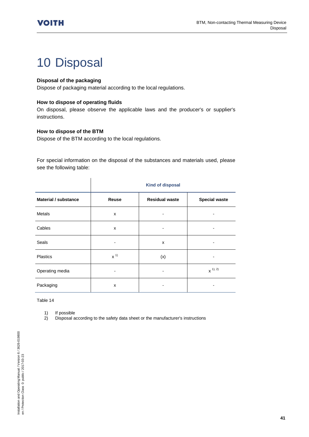## <span id="page-40-0"></span>10 Disposal

#### **Disposal of the packaging**

Dispose of packaging material according to the local regulations.

#### **How to dispose of operating fluids**

On disposal, please observe the applicable laws and the producer's or supplier's instructions.

#### **How to dispose of the BTM**

Dispose of the BTM according to the local regulations.

 $\mathbf{I}$ 

For special information on the disposal of the substances and materials used, please see the following table:

|                             | <b>Kind of disposal</b> |                       |                      |
|-----------------------------|-------------------------|-----------------------|----------------------|
| <b>Material / substance</b> | Reuse                   | <b>Residual waste</b> | <b>Special waste</b> |
| <b>Metals</b>               | X                       |                       |                      |
| Cables                      | X                       |                       | -                    |
| Seals                       |                         | X                     | -                    |
| Plastics                    | $x^{1}$                 | (x)                   |                      |
| Operating media             |                         |                       | $x^{1,2}$            |
| Packaging                   | X                       |                       |                      |

Table 14

1) If possible<br>2) Disposal a

2) Disposal according to the safety data sheet or the manufacturer's instructions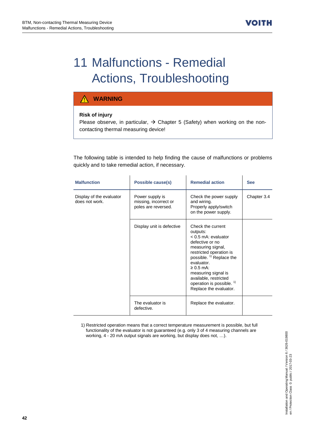## <span id="page-41-0"></span>11 Malfunctions - Remedial Actions, Troubleshooting

#### **WARNING**  $\Lambda$

#### **Risk of injury**

Please observe, in particular,  $\rightarrow$  Chapter [5](#page-20-0) (Safety) when working on the noncontacting thermal measuring device!

The following table is intended to help finding the cause of malfunctions or problems quickly and to take remedial action, if necessary.

| <b>Malfunction</b>                         | Possible cause(s)                                               | <b>Remedial action</b>                                                                                                                                                                                                                                                                                             | <b>See</b>  |
|--------------------------------------------|-----------------------------------------------------------------|--------------------------------------------------------------------------------------------------------------------------------------------------------------------------------------------------------------------------------------------------------------------------------------------------------------------|-------------|
| Display of the evaluator<br>does not work. | Power supply is<br>missing, incorrect or<br>poles are reversed. | Check the power supply<br>and wiring.<br>Properly apply/switch<br>on the power supply.                                                                                                                                                                                                                             | Chapter 3.4 |
|                                            | Display unit is defective                                       | Check the current<br>outputs:<br>$< 0.5$ mA: evaluator<br>defective or no<br>measuring signal,<br>restricted operation is<br>possible. <sup>1)</sup> Replace the<br>evaluator.<br>$\geq 0.5$ mA:<br>measuring signal is<br>available, restricted<br>operation is possible. <sup>1)</sup><br>Replace the evaluator. |             |
|                                            | The evaluator is<br>defective.                                  | Replace the evaluator.                                                                                                                                                                                                                                                                                             |             |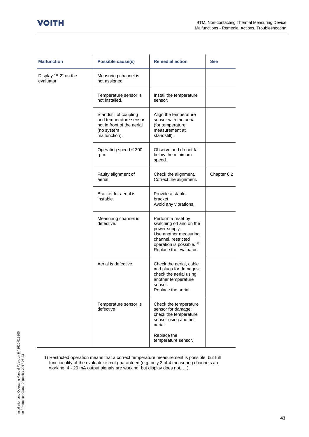| <b>Malfunction</b>                | Possible cause(s)                                                                                             | <b>Remedial action</b>                                                                                                                                                            | <b>See</b>  |
|-----------------------------------|---------------------------------------------------------------------------------------------------------------|-----------------------------------------------------------------------------------------------------------------------------------------------------------------------------------|-------------|
| Display "E 2" on the<br>evaluator | Measuring channel is<br>not assigned.                                                                         |                                                                                                                                                                                   |             |
|                                   | Temperature sensor is<br>not installed.                                                                       | Install the temperature<br>sensor.                                                                                                                                                |             |
|                                   | Standstill of coupling<br>and temperature sensor<br>not in front of the aerial<br>(no system<br>malfunction). | Align the temperature<br>sensor with the aerial<br>(for temperature<br>measurement at<br>standstill).                                                                             |             |
|                                   | Operating speed $\leq 300$<br>rpm.                                                                            | Observe and do not fall<br>below the minimum<br>speed.                                                                                                                            |             |
|                                   | Faulty alignment of<br>aerial                                                                                 | Check the alignment.<br>Correct the alignment.                                                                                                                                    | Chapter 6.2 |
|                                   | Bracket for aerial is<br>instable.                                                                            | Provide a stable<br>bracket.<br>Avoid any vibrations.                                                                                                                             |             |
|                                   | Measuring channel is<br>defective.                                                                            | Perform a reset by<br>switching off and on the<br>power supply.<br>Use another measuring<br>channel, restricted<br>operation is possible. <sup>1)</sup><br>Replace the evaluator. |             |
|                                   | Aerial is defective.                                                                                          | Check the aerial, cable<br>and plugs for damages,<br>check the aerial using<br>another temperature<br>sensor.<br>Replace the aerial                                               |             |
|                                   | Temperature sensor is<br>defective                                                                            | Check the temperature<br>sensor for damage;<br>check the temperature<br>sensor using another<br>aerial.<br>Replace the<br>temperature sensor.                                     |             |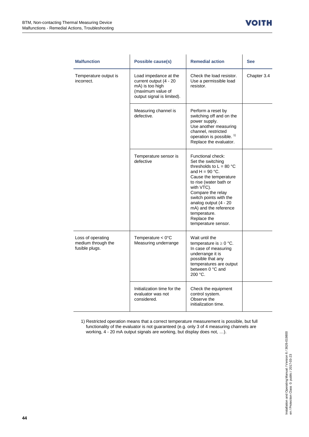| <b>Malfunction</b>                                        | <b>Possible cause(s)</b>                                                                                              | <b>Remedial action</b>                                                                                                                                                                                                                                                                                           | <b>See</b>  |
|-----------------------------------------------------------|-----------------------------------------------------------------------------------------------------------------------|------------------------------------------------------------------------------------------------------------------------------------------------------------------------------------------------------------------------------------------------------------------------------------------------------------------|-------------|
| Temperature output is<br>incorrect.                       | Load impedance at the<br>current output (4 - 20<br>mA) is too high<br>(maximum value of<br>output signal is limited). | Check the load resistor.<br>Use a permissible load<br>resistor.                                                                                                                                                                                                                                                  | Chapter 3.4 |
|                                                           | Measuring channel is<br>defective.                                                                                    | Perform a reset by<br>switching off and on the<br>power supply.<br>Use another measuring<br>channel, restricted<br>operation is possible. <sup>1)</sup><br>Replace the evaluator.                                                                                                                                |             |
|                                                           | Temperature sensor is<br>defective                                                                                    | Functional check:<br>Set the switching<br>thresholds to $L = 80 °C$<br>and $H = 90 °C$ .<br>Cause the temperature<br>to rise (water bath or<br>with VTC).<br>Compare the relay<br>switch points with the<br>analog output (4 - 20<br>mA) and the reference<br>temperature.<br>Replace the<br>temperature sensor. |             |
| Loss of operating<br>medium through the<br>fusible plugs. | Temperature $< 0$ °C<br>Measuring underrange                                                                          | Wait until the<br>temperature is $\geq 0$ °C.<br>In case of measuring<br>underrange it is<br>possible that any<br>temperatures are output<br>between 0 °C and<br>200 °C.                                                                                                                                         |             |
|                                                           | Initialization time for the<br>evaluator was not<br>considered.                                                       | Check the equipment<br>control system.<br>Observe the<br>initialization time.                                                                                                                                                                                                                                    |             |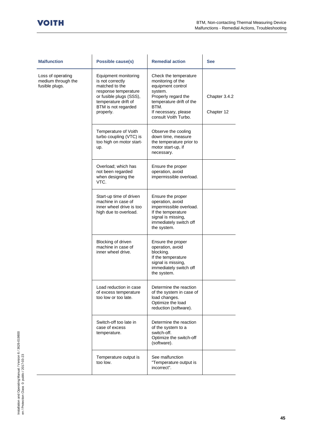and a

| <b>Malfunction</b>                                        | Possible cause(s)                                                                                                                                                         | <b>Remedial action</b>                                                                                                                                                                | <b>See</b>                  |
|-----------------------------------------------------------|---------------------------------------------------------------------------------------------------------------------------------------------------------------------------|---------------------------------------------------------------------------------------------------------------------------------------------------------------------------------------|-----------------------------|
| Loss of operating<br>medium through the<br>fusible plugs. | Equipment monitoring<br>is not correctly<br>matched to the<br>response temperature<br>or fusible plugs (SSS),<br>temperature drift of<br>BTM is not regarded<br>properly. | Check the temperature<br>monitoring of the<br>equipment control<br>system.<br>Properly regard the<br>temperature drift of the<br>BTM.<br>If necessary, please<br>consult Voith Turbo. | Chapter 3.4.2<br>Chapter 12 |
|                                                           | Temperature of Voith<br>turbo coupling (VTC) is<br>too high on motor start-<br>up.                                                                                        | Observe the cooling<br>down time, measure<br>the temperature prior to<br>motor start-up, if<br>necessary.                                                                             |                             |
|                                                           | Overload; which has<br>not been regarded<br>when designing the<br>VTC.                                                                                                    | Ensure the proper<br>operation, avoid<br>impermissible overload.                                                                                                                      |                             |
|                                                           | Start-up time of driven<br>machine in case of<br>inner wheel drive is too<br>high due to overload.                                                                        | Ensure the proper<br>operation, avoid<br>impermissible overload.<br>If the temperature<br>signal is missing,<br>immediately switch off<br>the system.                                 |                             |
|                                                           | Blocking of driven<br>machine in case of<br>inner wheel drive.                                                                                                            | Ensure the proper<br>operation, avoid<br>blocking.<br>If the temperature<br>signal is missing,<br>immediately switch off<br>the system.                                               |                             |
|                                                           | Load reduction in case<br>of excess temperature<br>too low or too late.                                                                                                   | Determine the reaction<br>of the system in case of<br>load changes.<br>Optimize the load<br>reduction (software).                                                                     |                             |
|                                                           | Switch-off too late in<br>case of excess<br>temperature.                                                                                                                  | Determine the reaction<br>of the system to a<br>switch-off.<br>Optimize the switch-off<br>(software).                                                                                 |                             |
|                                                           | Temperature output is<br>too low.                                                                                                                                         | See malfunction<br>"Temperature output is<br>incorrect".                                                                                                                              |                             |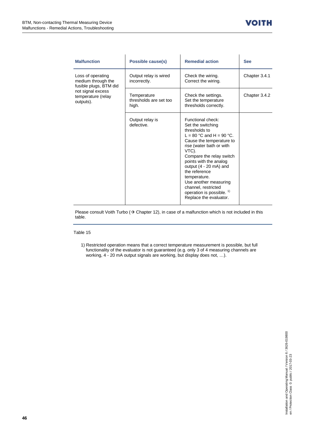| <b>Malfunction</b>                                                | Possible cause(s)                              | <b>Remedial action</b>                                                                                                                                                                                                                                                                                                                                                                    | <b>See</b>    |
|-------------------------------------------------------------------|------------------------------------------------|-------------------------------------------------------------------------------------------------------------------------------------------------------------------------------------------------------------------------------------------------------------------------------------------------------------------------------------------------------------------------------------------|---------------|
| Loss of operating<br>medium through the<br>fusible plugs, BTM did | Output relay is wired<br>incorrectly.          | Check the wiring.<br>Correct the wiring.                                                                                                                                                                                                                                                                                                                                                  | Chapter 3.4.1 |
| not signal excess<br>temperature (relay<br>outputs).              | Temperature<br>thresholds are set too<br>high. | Check the settings.<br>Set the temperature<br>thresholds correctly.                                                                                                                                                                                                                                                                                                                       | Chapter 3.4.2 |
|                                                                   | Output relay is<br>defective.                  | Functional check:<br>Set the switching<br>thresholds to<br>L = 80 °C and H = 90 °C.<br>Cause the temperature to<br>rise (water bath or with<br>VTC).<br>Compare the relay switch<br>points with the analog<br>output $(4 - 20$ mA) and<br>the reference<br>temperature.<br>Use another measuring<br>channel, restricted<br>operation is possible. <sup>1)</sup><br>Replace the evaluator. |               |

Please consult Voith Turbo ( $\rightarrow$  Chapte[r 12\)](#page-46-0), in case of a malfunction which is not included in this table.

Table 15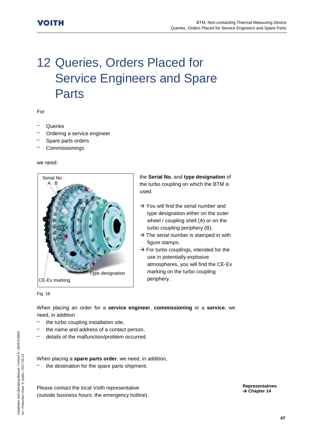## <span id="page-46-0"></span>12 Queries, Orders Placed for Service Engineers and Spare Parts

For

- **Queries**
- Ordering a service engineer
- Spare parts orders
- **Commissionings**

we need:



the **Serial No.** and **type designation** of the turbo coupling on which the BTM is used.

- $\rightarrow$  You will find the serial number and type designation either on the outer wheel / coupling shell (A) or on the turbo coupling periphery (B).
- $\rightarrow$  The serial number is stamped in with figure stamps.
- $\rightarrow$  For turbo couplings, intended for the use in potentially explosive atmospheres, you will find the CE-Ex marking on the turbo coupling periphery.

Fig. 16

When placing an order for a **service engineer**, **commissioning** or a **service**, we need, in addition

- the turbo coupling installation site,
- the name and address of a contact person,
- details of the malfunction/problem occurred.

When placing a **spare parts order**, we need, in addition,

the destination for the spare parts shipment.

Please contact the local Voith representative (outside business hours: the emergency hotline). **Representatives Chapte[r 14](#page-50-0)**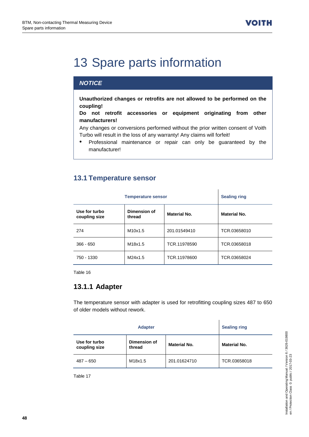## <span id="page-47-0"></span>13 Spare parts information

### *NOTICE*

**Unauthorized changes or retrofits are not allowed to be performed on the coupling!**

**Do not retrofit accessories or equipment originating from other manufacturers!**

Any changes or conversions performed without the prior written consent of Voith Turbo will result in the loss of any warranty! Any claims will forfeit!

• Professional maintenance or repair can only be guaranteed by the manufacturer!

### <span id="page-47-1"></span>**13.1 Temperature sensor**

| <b>Temperature sensor</b>      |                        | <b>Sealing ring</b> |                     |
|--------------------------------|------------------------|---------------------|---------------------|
| Use for turbo<br>coupling size | Dimension of<br>thread | <b>Material No.</b> | <b>Material No.</b> |
| 274                            | M10x1.5                | 201.01549410        | TCR.03658010        |
| $366 - 650$                    | M18x1.5                | TCR.11978590        | TCR.03658018        |
| 750 - 1330                     | M24x1.5                | TCR.11978600        | TCR.03658024        |

Table 16

#### <span id="page-47-2"></span>**13.1.1 Adapter**

The temperature sensor with adapter is used for retrofitting coupling sizes 487 to 650 of older models without rework.

| <b>Adapter</b>                 |                        | <b>Sealing ring</b> |                     |
|--------------------------------|------------------------|---------------------|---------------------|
| Use for turbo<br>coupling size | Dimension of<br>thread | <b>Material No.</b> | <b>Material No.</b> |
| $487 - 650$                    | M18x1.5                | 201.01624710        | TCR.03658018        |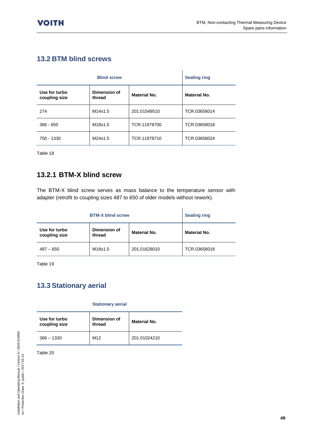## <span id="page-48-0"></span>**13.2 BTM blind screws**

| <b>Blind screw</b>             |                        | <b>Sealing ring</b> |                     |
|--------------------------------|------------------------|---------------------|---------------------|
| Use for turbo<br>coupling size | Dimension of<br>thread | <b>Material No.</b> | <b>Material No.</b> |
| 274                            | M14x1.5                | 201.01549510        | TCR.03658014        |
| $366 - 650$                    | M18x1.5                | TCR.11978700        | TCR.03658018        |
| 750 - 1330                     | M24x1.5                | TCR.11978710        | TCR.03658024        |

Table 18

### <span id="page-48-1"></span>**13.2.1 BTM-X blind screw**

The BTM-X blind screw serves as mass balance to the temperature sensor with adapter (retrofit to coupling sizes 487 to 650 of older models without rework).

| <b>BTM-X blind screw</b>       |                        | <b>Sealing ring</b> |                     |
|--------------------------------|------------------------|---------------------|---------------------|
| Use for turbo<br>coupling size | Dimension of<br>thread | <b>Material No.</b> | <b>Material No.</b> |
| $487 - 650$                    | M18x1.5                | 201.01628010        | TCR.03658018        |

Table 19

## <span id="page-48-2"></span>**13.3 Stationary aerial**

#### **Stationary aerial**

| Use for turbo<br>coupling size | Dimension of<br>thread | Material No. |
|--------------------------------|------------------------|--------------|
| $366 - 1330$                   | M <sub>12</sub>        | 201.01024210 |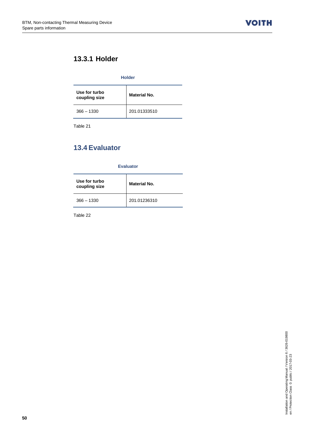**VOITH** 

## <span id="page-49-0"></span>**13.3.1 Holder**

#### **Holder**

| Use for turbo<br>coupling size | Material No. |
|--------------------------------|--------------|
| $366 - 1330$                   | 201.01333510 |

Table 21

## <span id="page-49-1"></span>**13.4 Evaluator**

**Evaluator**

| Use for turbo<br>coupling size | Material No. |
|--------------------------------|--------------|
| $366 - 1330$                   | 201.01236310 |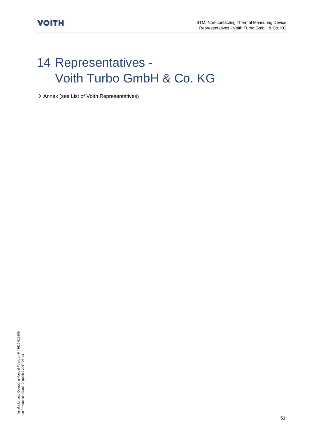## <span id="page-50-0"></span>14 Representatives - Voith Turbo GmbH & Co. KG

 $\rightarrow$  Annex (see List of Voith Representatives)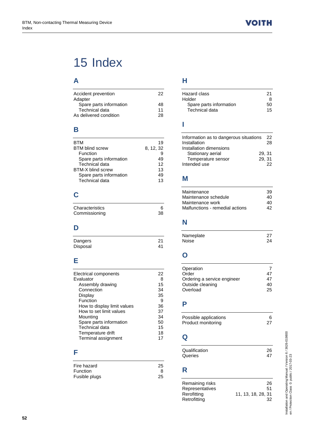## <span id="page-51-0"></span>15 Index

## **A**

| Accident prevention     | 22 |
|-------------------------|----|
| Adapter                 |    |
| Spare parts information | 48 |
| Technical data          | 11 |
| As delivered condition  | 28 |
|                         |    |

## **B**

| BTM                      | 19        |
|--------------------------|-----------|
| <b>BTM blind screw</b>   | 8, 12, 32 |
| Function                 | 9         |
| Spare parts information  | 49        |
| Technical data           | 12        |
| <b>BTM-X blind screw</b> | 13        |
| Spare parts information  | 49        |
| Technical data           | 13        |

## **C**

| Characteristics |    |
|-----------------|----|
| Commissioning   | 38 |

### **D**

| Dangers  | 21 |
|----------|----|
| Disposal | 41 |

## **E**

| Electrical components       | 22 |
|-----------------------------|----|
| Evaluator                   | 8  |
| Assembly drawing            | 15 |
| Connection                  | 34 |
| Display                     | 35 |
| Function                    | 9  |
| How to display limit values | 36 |
| How to set limit values     | 37 |
| Mounting                    | 34 |
| Spare parts information     | 50 |
| Technical data              | 15 |
| Temperature drift           | 18 |
| Terminal assignment         |    |
|                             |    |

## **F**

| Fire hazard     | 25 |
|-----------------|----|
| <b>Function</b> | 8  |
| Fusible plugs   | 25 |

## **H**

| Hazard class            | 21 |
|-------------------------|----|
| Holder                  | я  |
| Spare parts information | 50 |
| Technical data          | 15 |
|                         |    |

## **I**

| Information as to dangerous situations<br>Installation | 22.<br>28 |
|--------------------------------------------------------|-----------|
| Installation dimensions                                |           |
| Stationary aerial                                      | 29.31     |
| Temperature sensor                                     | 29, 31    |
| Intended use                                           | つつ        |

## **M**

| Maintenance                     | 39 |
|---------------------------------|----|
| Maintenance schedule            | 40 |
| Maintenance work                | 40 |
| Malfunctions - remedial actions | 42 |
|                                 |    |

## **N**

| Nameplate | 27 |
|-----------|----|
| Noise     | 24 |

## **O**

| Operation<br>Order<br>Ordering a service engineer<br>Outside cleaning | 47<br>40 |
|-----------------------------------------------------------------------|----------|
| Overload                                                              | 25       |
|                                                                       |          |

## **P**

| Possible applications |    |
|-----------------------|----|
| Product monitoring    | 27 |

## **Q**

| Qualification | 26 |
|---------------|----|
| Queries       |    |
|               |    |
| R             |    |

| Remaining risks        | 26                 |
|------------------------|--------------------|
| <b>Representatives</b> | 51                 |
| Rerofitting            | 11, 13, 18, 28, 31 |
| Retrofitting           | 32                 |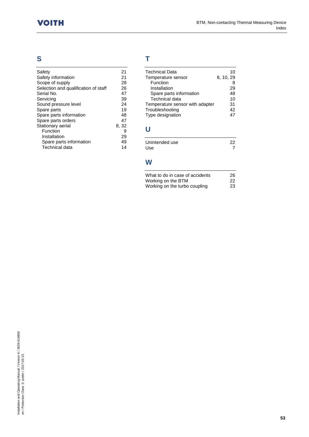## **S**

| Safety                               | 21    |
|--------------------------------------|-------|
| Safety information                   | 21    |
| Scope of supply                      | 28    |
| Selection and qualification of staff | 26    |
| Serial No.                           | 47    |
| Servicing                            | 39    |
| Sound pressure level                 | 24    |
| Spare parts                          | 19    |
| Spare parts information              | 48    |
| Spare parts orders                   | 47    |
| Stationary aerial                    | 8, 32 |
| Function                             | 9     |
| Installation                         | 29    |
| Spare parts information              | 49    |
| <b>Technical data</b>                | 14    |
|                                      |       |

## **T**

| 10        |
|-----------|
| 8, 10, 29 |
| 8         |
| 29        |
| 48        |
| 10        |
| 31        |
| 42        |
| 47        |
|           |
|           |

# **U**

| Unintended use | 22 |
|----------------|----|
| Use            |    |

#### **W**

| What to do in case of accidents                     | 26        |
|-----------------------------------------------------|-----------|
| Working on the BTM<br>Working on the turbo coupling | -22<br>23 |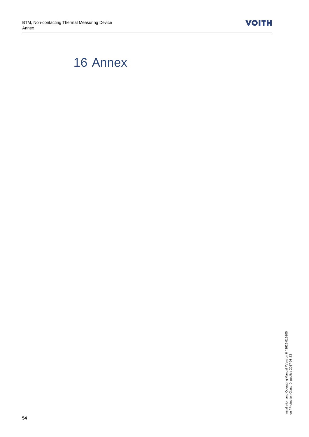**VOITH** 

## <span id="page-53-0"></span>16 Annex